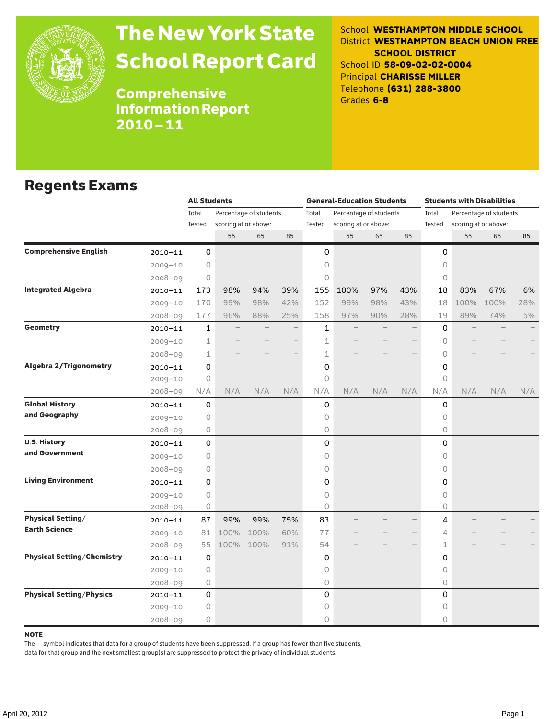

# The New York State School Report Card

School **WESTHAMPTON MIDDLE SCHOOL** District **WESTHAMPTON BEACH UNION FREE SCHOOL DISTRICT** School ID **58-09-02-02-0004** Principal **CHARISSE MILLER** Telephone **(631) 288-3800** Grades **6-8**

Comprehensive Information Report 2010–11

### Regents Exams

|                                   |             | <b>All Students</b> |                                                |      |     |              | <b>General-Education Students</b> |                        |     | <b>Students with Disabilities</b> |                      |                        |     |  |
|-----------------------------------|-------------|---------------------|------------------------------------------------|------|-----|--------------|-----------------------------------|------------------------|-----|-----------------------------------|----------------------|------------------------|-----|--|
|                                   |             | Total               | Percentage of students<br>scoring at or above: |      |     | Total        |                                   | Percentage of students |     | Total                             |                      | Percentage of students |     |  |
|                                   |             | Tested              |                                                |      |     | Tested       | scoring at or above:              |                        |     | Tested                            | scoring at or above: |                        |     |  |
|                                   |             |                     | 55                                             | 65   | 85  |              | 55                                | 65                     | 85  |                                   | 55                   | 65                     | 85  |  |
| <b>Comprehensive English</b>      | $2010 - 11$ | 0                   |                                                |      |     | 0            |                                   |                        |     | 0                                 |                      |                        |     |  |
|                                   | $2009 - 10$ | $\circ$             |                                                |      |     | 0            |                                   |                        |     | 0                                 |                      |                        |     |  |
|                                   | $2008 - 09$ | $\circ$             |                                                |      |     | 0            |                                   |                        |     | $\circ$                           |                      |                        |     |  |
| <b>Integrated Algebra</b>         | $2010 - 11$ | 173                 | 98%                                            | 94%  | 39% | 155          | 100%                              | 97%                    | 43% | 18                                | 83%                  | 67%                    | 6%  |  |
|                                   | $2009 - 10$ | 170                 | 99%                                            | 98%  | 42% | 152          | 99%                               | 98%                    | 43% | 18                                | 100%                 | 100%                   | 28% |  |
|                                   | $2008 - 09$ | 177                 | 96%                                            | 88%  | 25% | 158          | 97%                               | 90%                    | 28% | 19                                | 89%                  | 74%                    | 5%  |  |
| <b>Geometry</b>                   | 2010-11     | $\mathbf 1$         |                                                |      |     | $\mathbf{1}$ |                                   |                        |     | $\Omega$                          |                      |                        |     |  |
|                                   | $2009 - 10$ | 1                   |                                                |      |     | 1            |                                   |                        |     | $\circ$                           |                      |                        |     |  |
|                                   | $2008 - 09$ | $\mathbf 1$         |                                                |      |     | 1            |                                   |                        |     | 0                                 |                      |                        |     |  |
| <b>Algebra 2/Trigonometry</b>     | $2010 - 11$ | 0                   |                                                |      |     | 0            |                                   |                        |     | 0                                 |                      |                        |     |  |
|                                   | $2009 - 10$ | 0                   |                                                |      |     | 0            |                                   |                        |     | 0                                 |                      |                        |     |  |
|                                   | $2008 - 09$ | N/A                 | N/A                                            | N/A  | N/A | N/A          | N/A                               | N/A                    | N/A | N/A                               | N/A                  | N/A                    | N/A |  |
| <b>Global History</b>             | $2010 - 11$ | 0                   |                                                |      |     | 0            |                                   |                        |     | 0                                 |                      |                        |     |  |
| and Geography                     | $2009 - 10$ | 0                   |                                                |      |     | 0            |                                   |                        |     | $\circ$                           |                      |                        |     |  |
|                                   | $2008 - 09$ | 0                   |                                                |      |     | 0            |                                   |                        |     | 0                                 |                      |                        |     |  |
| <b>U.S. History</b>               | $2010 - 11$ | 0                   |                                                |      |     | 0            |                                   |                        |     | $\mathsf{O}$                      |                      |                        |     |  |
| and Government                    | $2009 - 10$ | $\circ$             |                                                |      |     | 0            |                                   |                        |     | $\circ$                           |                      |                        |     |  |
|                                   | $2008 - 09$ | 0                   |                                                |      |     | 0            |                                   |                        |     | $\circ$                           |                      |                        |     |  |
| <b>Living Environment</b>         | $2010 - 11$ | $\mathbf 0$         |                                                |      |     | 0            |                                   |                        |     | $\Omega$                          |                      |                        |     |  |
|                                   | $2009 - 10$ | 0                   |                                                |      |     | 0            |                                   |                        |     | 0                                 |                      |                        |     |  |
|                                   | $2008 - 09$ | 0                   |                                                |      |     | 0            |                                   |                        |     | 0                                 |                      |                        |     |  |
| <b>Physical Setting/</b>          | $2010 - 11$ | 87                  | 99%                                            | 99%  | 75% | 83           |                                   |                        |     | 4                                 |                      |                        |     |  |
| <b>Earth Science</b>              | $2009 - 10$ | 81                  | 100%                                           | 100% | 60% | 77           |                                   |                        |     | 4                                 |                      |                        |     |  |
|                                   | $2008 - 09$ | 55                  | 100%                                           | 100% | 91% | 54           |                                   |                        |     | $\mathbf{1}$                      |                      |                        |     |  |
| <b>Physical Setting/Chemistry</b> | $2010 - 11$ | 0                   |                                                |      |     | 0            |                                   |                        |     | 0                                 |                      |                        |     |  |
|                                   | $2009 - 10$ | 0                   |                                                |      |     | 0            |                                   |                        |     | $\circ$                           |                      |                        |     |  |
|                                   | $2008 - 09$ | 0                   |                                                |      |     | 0            |                                   |                        |     | 0                                 |                      |                        |     |  |
| <b>Physical Setting/Physics</b>   | 2010-11     | 0                   |                                                |      |     | 0            |                                   |                        |     | 0                                 |                      |                        |     |  |
|                                   | $2009 - 10$ | 0                   |                                                |      |     | 0            |                                   |                        |     | $\circ$                           |                      |                        |     |  |
|                                   | $2008 - 09$ | 0                   |                                                |      |     | 0            |                                   |                        |     | 0                                 |                      |                        |     |  |

#### **NOTE**

The — symbol indicates that data for a group of students have been suppressed. If a group has fewer than five students,

data for that group and the next smallest group(s) are suppressed to protect the privacy of individual students.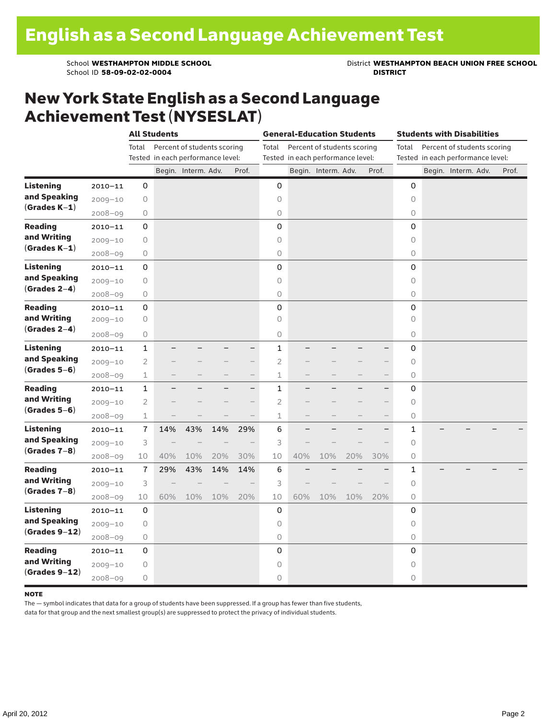School ID 58-09-02-02-0004

School **WESTHAMPTON MIDDLE SCHOOL**<br>School ID 58-09-02-020404<br>**DISTRICT** DISTRICT

### New York State English as a Second Language Achievement Test (NYSESLAT)

|                                                    |             |                | <b>All Students</b>               |                             |     |                          | <b>General-Education Students</b>          |                                                                           |                     |     |                          |              | <b>Students with Disabilities</b> |  |                     |       |  |  |  |
|----------------------------------------------------|-------------|----------------|-----------------------------------|-----------------------------|-----|--------------------------|--------------------------------------------|---------------------------------------------------------------------------|---------------------|-----|--------------------------|--------------|-----------------------------------|--|---------------------|-------|--|--|--|
|                                                    |             | Total          | Tested in each performance level: | Percent of students scoring |     |                          | Total<br>Tested in each performance level: | Percent of students scoring<br>Total<br>Tested in each performance level: |                     |     |                          |              |                                   |  |                     |       |  |  |  |
|                                                    |             |                |                                   | Begin. Interm. Adv.         |     | Prof.                    |                                            |                                                                           | Begin. Interm. Adv. |     | Prof.                    |              |                                   |  | Begin. Interm. Adv. | Prof. |  |  |  |
| <b>Listening</b>                                   | $2010 - 11$ | 0              |                                   |                             |     |                          | 0                                          |                                                                           |                     |     |                          | 0            |                                   |  |                     |       |  |  |  |
| and Speaking<br>$(Grades K-1)$                     | $2009 - 10$ | 0              |                                   |                             |     |                          | 0                                          |                                                                           |                     |     |                          | $\circ$      |                                   |  |                     |       |  |  |  |
|                                                    | $2008 - 09$ | 0              |                                   |                             |     |                          | 0                                          |                                                                           |                     |     |                          | 0            |                                   |  |                     |       |  |  |  |
| <b>Reading</b><br>and Writing<br>$(Grades K-1)$    | $2010 - 11$ | 0              |                                   |                             |     |                          | 0                                          |                                                                           |                     |     |                          | 0            |                                   |  |                     |       |  |  |  |
|                                                    | $2009 - 10$ | 0              |                                   |                             |     |                          | 0                                          |                                                                           |                     |     |                          | $\Omega$     |                                   |  |                     |       |  |  |  |
|                                                    | $2008 - 09$ | 0              |                                   |                             |     |                          | $\circ$                                    |                                                                           |                     |     |                          | 0            |                                   |  |                     |       |  |  |  |
| <b>Listening</b><br>and Speaking<br>$(Grades 2-4)$ | $2010 - 11$ | 0              |                                   |                             |     |                          | 0                                          |                                                                           |                     |     |                          | 0            |                                   |  |                     |       |  |  |  |
|                                                    | $2009 - 10$ | 0              |                                   |                             |     |                          | $\circ$                                    |                                                                           |                     |     |                          | 0            |                                   |  |                     |       |  |  |  |
|                                                    | $2008 - 09$ | 0              |                                   |                             |     |                          | $\circ$                                    |                                                                           |                     |     |                          | 0            |                                   |  |                     |       |  |  |  |
| <b>Reading</b><br>and Writing<br>$(Grades 2-4)$    | $2010 - 11$ | 0              |                                   |                             |     |                          | 0                                          |                                                                           |                     |     |                          | 0            |                                   |  |                     |       |  |  |  |
|                                                    | $2009 - 10$ | 0              |                                   |                             |     |                          | $\circ$                                    |                                                                           |                     |     |                          | $\Omega$     |                                   |  |                     |       |  |  |  |
|                                                    | $2008 - 09$ | 0              |                                   |                             |     |                          | 0                                          |                                                                           |                     |     |                          | 0            |                                   |  |                     |       |  |  |  |
| <b>Listening</b><br>and Speaking<br>$(Grades 5-6)$ | $2010 - 11$ | $\mathbf{1}$   |                                   |                             |     | -                        | $\mathbf{1}$                               |                                                                           |                     |     | $\equiv$                 | 0            |                                   |  |                     |       |  |  |  |
|                                                    | $2009 - 10$ | $\overline{2}$ |                                   |                             |     | $\overline{\phantom{0}}$ | $\overline{2}$                             |                                                                           |                     |     | $\overline{\phantom{0}}$ | 0            |                                   |  |                     |       |  |  |  |
|                                                    | $2008 - 09$ | 1              |                                   |                             |     | $\overline{\phantom{0}}$ | $\mathbf 1$                                |                                                                           |                     |     | $\overline{\phantom{0}}$ | 0            |                                   |  |                     |       |  |  |  |
| <b>Reading</b><br>and Writing<br>$(Grades 5-6)$    | $2010 - 11$ | $\mathbf{1}$   |                                   |                             |     | $\overline{\phantom{0}}$ | $\mathbf{1}$                               |                                                                           |                     |     | $\overline{\phantom{0}}$ | 0            |                                   |  |                     |       |  |  |  |
|                                                    | $2009 - 10$ | 2              |                                   |                             |     | $\overline{\phantom{0}}$ | $\overline{2}$                             |                                                                           |                     |     | $\qquad \qquad$          | $\circ$      |                                   |  |                     |       |  |  |  |
|                                                    | $2008 - 09$ | $\mathbf 1$    |                                   |                             |     |                          | $\mathbf 1$                                |                                                                           |                     |     |                          | 0            |                                   |  |                     |       |  |  |  |
| <b>Listening</b><br>and Speaking<br>$(Grades 7-8)$ | $2010 - 11$ | $\overline{1}$ | 14%                               | 43%                         | 14% | 29%                      | 6                                          |                                                                           |                     |     | $\overline{\phantom{0}}$ | $\mathbf{1}$ |                                   |  |                     |       |  |  |  |
|                                                    | $2009 - 10$ | 3              |                                   |                             |     |                          | 3                                          |                                                                           |                     |     |                          | $\circ$      |                                   |  |                     |       |  |  |  |
|                                                    | $2008 - 09$ | 10             | 40%                               | 10%                         | 20% | 30%                      | 10                                         | 40%                                                                       | 10%                 | 20% | 30%                      | 0            |                                   |  |                     |       |  |  |  |
| <b>Reading</b><br>and Writing<br>$(Grades 7-8)$    | $2010 - 11$ | 7              | 29%                               | 43%                         | 14% | 14%                      | 6                                          |                                                                           |                     |     |                          | 1            |                                   |  |                     |       |  |  |  |
|                                                    | $2009 - 10$ | 3              |                                   |                             |     | $\overline{\phantom{0}}$ | 3                                          |                                                                           |                     |     |                          | $\circ$      |                                   |  |                     |       |  |  |  |
|                                                    | $2008 - 09$ | 10             | 60%                               | 10%                         | 10% | 20%                      | 10                                         | 60%                                                                       | 10%                 | 10% | 20%                      | 0            |                                   |  |                     |       |  |  |  |
| Listening<br>and Speaking<br>$(Grades 9-12)$       | $2010 - 11$ | 0              |                                   |                             |     |                          | 0                                          |                                                                           |                     |     |                          | 0            |                                   |  |                     |       |  |  |  |
|                                                    | $2009 - 10$ | 0              |                                   |                             |     |                          | 0                                          |                                                                           |                     |     |                          | 0            |                                   |  |                     |       |  |  |  |
|                                                    | $2008 - 09$ | 0              |                                   |                             |     |                          | $\bigcirc$                                 |                                                                           |                     |     |                          | 0            |                                   |  |                     |       |  |  |  |
| <b>Reading</b><br>and Writing<br>$(Grades 9-12)$   | $2010 - 11$ | 0              |                                   |                             |     |                          | 0                                          |                                                                           |                     |     |                          | 0            |                                   |  |                     |       |  |  |  |
|                                                    | $2009 - 10$ | $\bigcirc$     |                                   |                             |     |                          | $\circ$                                    |                                                                           |                     |     |                          | $\circ$      |                                   |  |                     |       |  |  |  |
|                                                    | $2008 - 09$ | 0              |                                   |                             |     |                          | $\circ$                                    |                                                                           |                     |     |                          | 0            |                                   |  |                     |       |  |  |  |

#### note

The — symbol indicates that data for a group of students have been suppressed. If a group has fewer than five students,

data for that group and the next smallest group(s) are suppressed to protect the privacy of individual students.